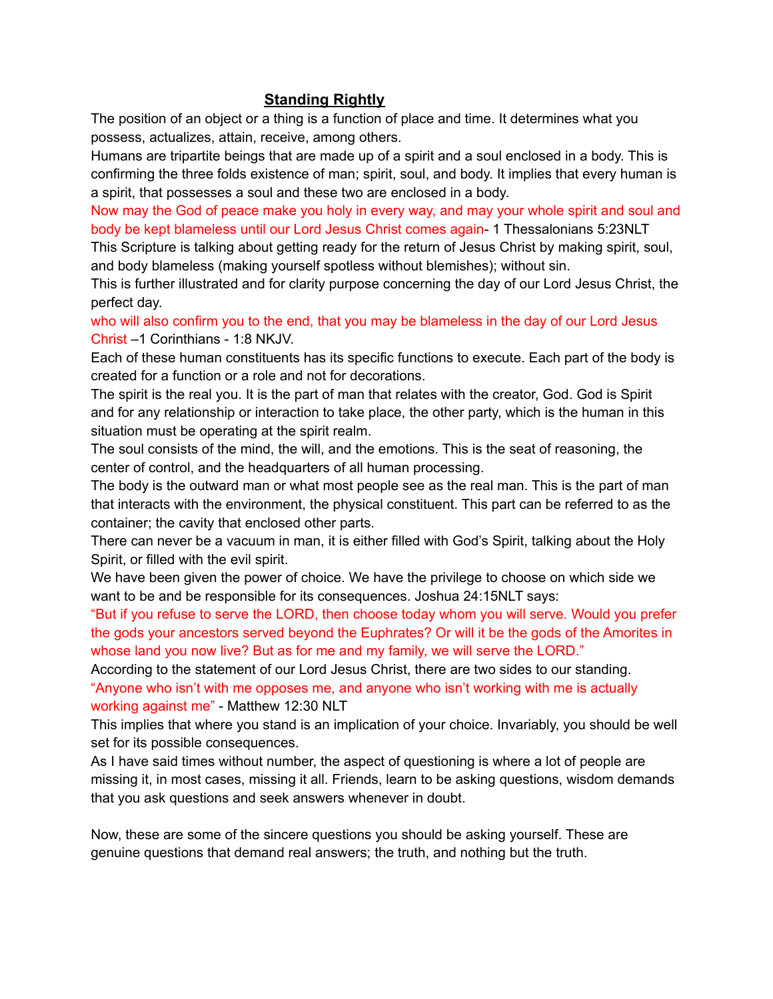## **Standing Rightly**

The position of an object or a thing is a function of place and time. It determines what you possess, actualizes, attain, receive, among others.

Humans are tripartite beings that are made up of a spirit and a soul enclosed in a body. This is confirming the three folds existence of man; spirit, soul, and body. It implies that every human is a spirit, that possesses a soul and these two are enclosed in a body.

Now may the God of peace make you holy in every way, and may your whole spirit and soul and body be kept blameless until our Lord Jesus Christ comes again- 1 Thessalonians 5:23NLT

This Scripture is talking about getting ready for the return of Jesus Christ by making spirit, soul, and body blameless (making yourself spotless without blemishes); without sin.

This is further illustrated and for clarity purpose concerning the day of our Lord Jesus Christ, the perfect day.

who will also confirm you to the end, that you may be blameless in the day of our Lord Jesus Christ –1 Corinthians - 1:8 NKJV.

Each of these human constituents has its specific functions to execute. Each part of the body is created for a function or a role and not for decorations.

The spirit is the real you. It is the part of man that relates with the creator, God. God is Spirit and for any relationship or interaction to take place, the other party, which is the human in this situation must be operating at the spirit realm.

The soul consists of the mind, the will, and the emotions. This is the seat of reasoning, the center of control, and the headquarters of all human processing.

The body is the outward man or what most people see as the real man. This is the part of man that interacts with the environment, the physical constituent. This part can be referred to as the container; the cavity that enclosed other parts.

There can never be a vacuum in man, it is either filled with God's Spirit, talking about the Holy Spirit, or filled with the evil spirit.

We have been given the power of choice. We have the privilege to choose on which side we want to be and be responsible for its consequences. Joshua 24:15NLT says:

"But if you refuse to serve the LORD, then choose today whom you will serve. Would you prefer the gods your ancestors served beyond the Euphrates? Or will it be the gods of the Amorites in whose land you now live? But as for me and my family, we will serve the LORD."

According to the statement of our Lord Jesus Christ, there are two sides to our standing. "Anyone who isn't with me opposes me, and anyone who isn't working with me is actually working against me" - Matthew 12:30 NLT

This implies that where you stand is an implication of your choice. Invariably, you should be well set for its possible consequences.

As I have said times without number, the aspect of questioning is where a lot of people are missing it, in most cases, missing it all. Friends, learn to be asking questions, wisdom demands that you ask questions and seek answers whenever in doubt.

Now, these are some of the sincere questions you should be asking yourself. These are genuine questions that demand real answers; the truth, and nothing but the truth.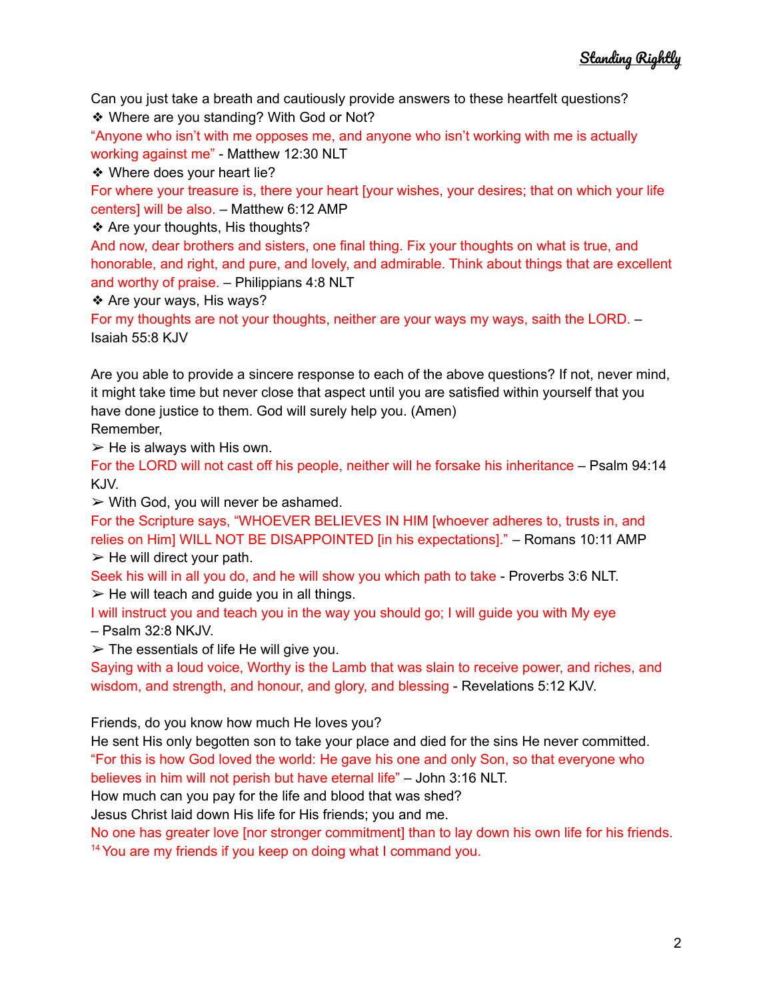Can you just take a breath and cautiously provide answers to these heartfelt questions? ❖ Where are you standing? With God or Not?

"Anyone who isn't with me opposes me, and anyone who isn't working with me is actually working against me" - Matthew 12:30 NLT

❖ Where does your heart lie?

For where your treasure is, there your heart [your wishes, your desires; that on which your life centers] will be also. – Matthew 6:12 AMP

## ❖ Are your thoughts, His thoughts?

And now, dear brothers and sisters, one final thing. Fix your thoughts on what is true, and honorable, and right, and pure, and lovely, and admirable. Think about things that are excellent and worthy of praise. – Philippians 4:8 NLT

❖ Are your ways, His ways?

For my thoughts are not your thoughts, neither are your ways my ways, saith the LORD. – Isaiah 55:8 KJV

Are you able to provide a sincere response to each of the above questions? If not, never mind, it might take time but never close that aspect until you are satisfied within yourself that you have done justice to them. God will surely help you. (Amen)

Remember,

 $\triangleright$  He is always with His own.

For the LORD will not cast off his people, neither will he forsake his inheritance – Psalm 94:14 KJV.

 $\triangleright$  With God, you will never be ashamed.

For the Scripture says, "WHOEVER BELIEVES IN HIM [whoever adheres to, trusts in, and relies on Him] WILL NOT BE DISAPPOINTED [in his expectations]." – Romans 10:11 AMP  $\triangleright$  He will direct your path.

Seek his will in all you do, and he will show you which path to take - Proverbs 3:6 NLT.

 $\triangleright$  He will teach and guide you in all things.

I will instruct you and teach you in the way you should go; I will guide you with My eye – Psalm 32:8 NKJV.

 $\triangleright$  The essentials of life He will give you.

Saying with a loud voice, Worthy is the Lamb that was slain to receive power, and riches, and wisdom, and strength, and honour, and glory, and blessing - Revelations 5:12 KJV.

Friends, do you know how much He loves you?

He sent His only begotten son to take your place and died for the sins He never committed. "For this is how God loved the world: He gave his one and only Son, so that everyone who believes in him will not perish but have eternal life" – John 3:16 NLT.

How much can you pay for the life and blood that was shed?

Jesus Christ laid down His life for His friends; you and me.

No one has greater love [nor stronger commitment] than to lay down his own life for his friends. <sup>14</sup> You are my friends if you keep on doing what I command you.